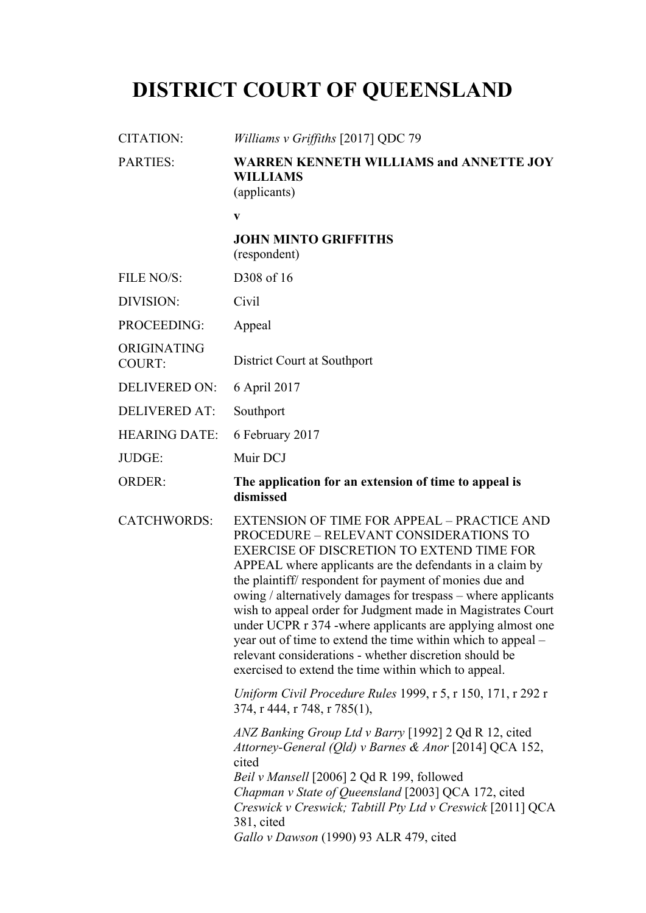# **DISTRICT COURT OF QUEENSLAND**

| <b>CITATION:</b>             | Williams v Griffiths [2017] QDC 79                                                                                                                                                                                                                                                                                                                                                                                                                                                                                                                                                                                                               |
|------------------------------|--------------------------------------------------------------------------------------------------------------------------------------------------------------------------------------------------------------------------------------------------------------------------------------------------------------------------------------------------------------------------------------------------------------------------------------------------------------------------------------------------------------------------------------------------------------------------------------------------------------------------------------------------|
| <b>PARTIES:</b>              | <b>WARREN KENNETH WILLIAMS and ANNETTE JOY</b><br><b>WILLIAMS</b><br>(applicants)                                                                                                                                                                                                                                                                                                                                                                                                                                                                                                                                                                |
|                              | $\mathbf{V}$                                                                                                                                                                                                                                                                                                                                                                                                                                                                                                                                                                                                                                     |
|                              | <b>JOHN MINTO GRIFFITHS</b><br>(respondent)                                                                                                                                                                                                                                                                                                                                                                                                                                                                                                                                                                                                      |
| FILE NO/S:                   | D308 of 16                                                                                                                                                                                                                                                                                                                                                                                                                                                                                                                                                                                                                                       |
| DIVISION:                    | Civil                                                                                                                                                                                                                                                                                                                                                                                                                                                                                                                                                                                                                                            |
| PROCEEDING:                  | Appeal                                                                                                                                                                                                                                                                                                                                                                                                                                                                                                                                                                                                                                           |
| ORIGINATING<br><b>COURT:</b> | District Court at Southport                                                                                                                                                                                                                                                                                                                                                                                                                                                                                                                                                                                                                      |
| <b>DELIVERED ON:</b>         | 6 April 2017                                                                                                                                                                                                                                                                                                                                                                                                                                                                                                                                                                                                                                     |
| <b>DELIVERED AT:</b>         | Southport                                                                                                                                                                                                                                                                                                                                                                                                                                                                                                                                                                                                                                        |
| <b>HEARING DATE:</b>         | 6 February 2017                                                                                                                                                                                                                                                                                                                                                                                                                                                                                                                                                                                                                                  |
| JUDGE:                       | Muir DCJ                                                                                                                                                                                                                                                                                                                                                                                                                                                                                                                                                                                                                                         |
| <b>ORDER:</b>                | The application for an extension of time to appeal is<br>dismissed                                                                                                                                                                                                                                                                                                                                                                                                                                                                                                                                                                               |
| <b>CATCHWORDS:</b>           | EXTENSION OF TIME FOR APPEAL - PRACTICE AND<br>PROCEDURE - RELEVANT CONSIDERATIONS TO<br><b>EXERCISE OF DISCRETION TO EXTEND TIME FOR</b><br>APPEAL where applicants are the defendants in a claim by<br>the plaintiff/respondent for payment of monies due and<br>owing / alternatively damages for trespass - where applicants<br>wish to appeal order for Judgment made in Magistrates Court<br>under UCPR r 374 - where applicants are applying almost one<br>year out of time to extend the time within which to appeal –<br>relevant considerations - whether discretion should be<br>exercised to extend the time within which to appeal. |
|                              | Uniform Civil Procedure Rules 1999, r 5, r 150, 171, r 292 r<br>374, r 444, r 748, r 785(1),                                                                                                                                                                                                                                                                                                                                                                                                                                                                                                                                                     |
|                              | ANZ Banking Group Ltd v Barry [1992] 2 Qd R 12, cited<br>Attorney-General (Qld) v Barnes & Anor [2014] QCA 152,<br>cited<br>Beil v Mansell [2006] 2 Qd R 199, followed<br>Chapman v State of Queensland [2003] QCA 172, cited<br>Creswick v Creswick; Tabtill Pty Ltd v Creswick [2011] QCA<br>381, cited<br>Gallo v Dawson (1990) 93 ALR 479, cited                                                                                                                                                                                                                                                                                             |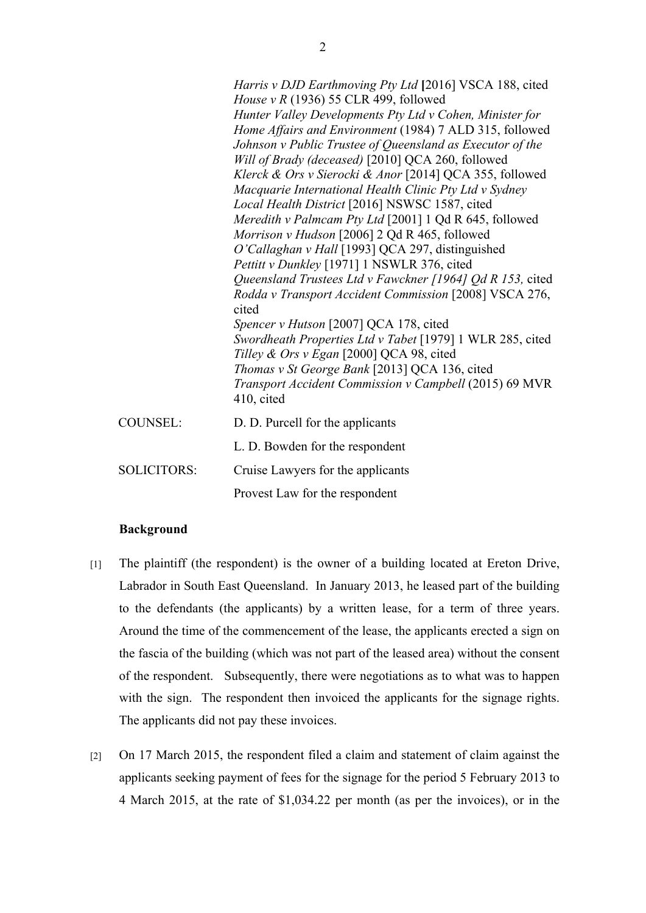|                    | Harris v DJD Earthmoving Pty Ltd [2016] VSCA 188, cited<br>House v R (1936) 55 CLR 499, followed<br>Hunter Valley Developments Pty Ltd v Cohen, Minister for<br>Home Affairs and Environment (1984) 7 ALD 315, followed<br>Johnson v Public Trustee of Queensland as Executor of the<br>Will of Brady (deceased) [2010] QCA 260, followed<br>Klerck & Ors v Sierocki & Anor [2014] QCA 355, followed<br>Macquarie International Health Clinic Pty Ltd v Sydney<br>Local Health District [2016] NSWSC 1587, cited<br>Meredith v Palmcam Pty Ltd [2001] 1 Qd R 645, followed<br>Morrison v Hudson [2006] 2 Qd R 465, followed<br>O'Callaghan v Hall [1993] QCA 297, distinguished<br>Pettitt v Dunkley [1971] 1 NSWLR 376, cited<br>Queensland Trustees Ltd v Fawckner [1964] Qd R 153, cited<br>Rodda v Transport Accident Commission [2008] VSCA 276,<br>cited<br>Spencer v Hutson [2007] QCA 178, cited<br>Swordheath Properties Ltd v Tabet [1979] 1 WLR 285, cited<br>Tilley & Ors v Egan [2000] QCA 98, cited<br>Thomas v St George Bank [2013] QCA 136, cited<br>Transport Accident Commission v Campbell (2015) 69 MVR<br>410, cited |
|--------------------|--------------------------------------------------------------------------------------------------------------------------------------------------------------------------------------------------------------------------------------------------------------------------------------------------------------------------------------------------------------------------------------------------------------------------------------------------------------------------------------------------------------------------------------------------------------------------------------------------------------------------------------------------------------------------------------------------------------------------------------------------------------------------------------------------------------------------------------------------------------------------------------------------------------------------------------------------------------------------------------------------------------------------------------------------------------------------------------------------------------------------------------------|
| <b>COUNSEL:</b>    | D. D. Purcell for the applicants                                                                                                                                                                                                                                                                                                                                                                                                                                                                                                                                                                                                                                                                                                                                                                                                                                                                                                                                                                                                                                                                                                           |
|                    | L. D. Bowden for the respondent                                                                                                                                                                                                                                                                                                                                                                                                                                                                                                                                                                                                                                                                                                                                                                                                                                                                                                                                                                                                                                                                                                            |
| <b>SOLICITORS:</b> | Cruise Lawyers for the applicants                                                                                                                                                                                                                                                                                                                                                                                                                                                                                                                                                                                                                                                                                                                                                                                                                                                                                                                                                                                                                                                                                                          |
|                    | Provest Law for the respondent                                                                                                                                                                                                                                                                                                                                                                                                                                                                                                                                                                                                                                                                                                                                                                                                                                                                                                                                                                                                                                                                                                             |

#### **Background**

- [1] The plaintiff (the respondent) is the owner of a building located at Ereton Drive, Labrador in South East Queensland. In January 2013, he leased part of the building to the defendants (the applicants) by a written lease, for a term of three years. Around the time of the commencement of the lease, the applicants erected a sign on the fascia of the building (which was not part of the leased area) without the consent of the respondent. Subsequently, there were negotiations as to what was to happen with the sign. The respondent then invoiced the applicants for the signage rights. The applicants did not pay these invoices.
- [2] On 17 March 2015, the respondent filed a claim and statement of claim against the applicants seeking payment of fees for the signage for the period 5 February 2013 to 4 March 2015, at the rate of \$1,034.22 per month (as per the invoices), or in the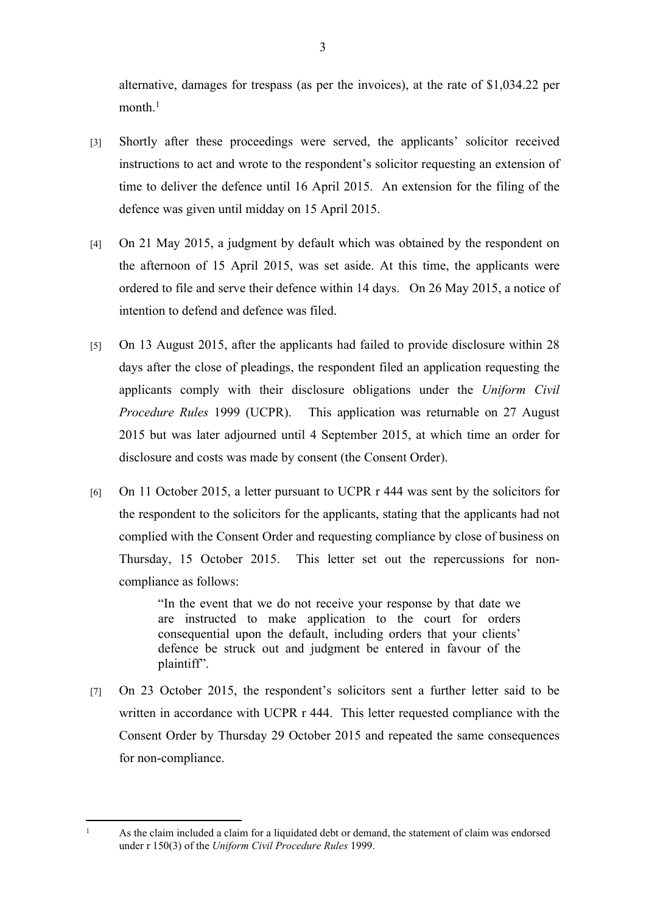alternative, damages for trespass (as per the invoices), at the rate of \$1,034.22 per month.<sup>1</sup>

- [3] Shortly after these proceedings were served, the applicants' solicitor received instructions to act and wrote to the respondent's solicitor requesting an extension of time to deliver the defence until 16 April 2015. An extension for the filing of the defence was given until midday on 15 April 2015.
- [4] On 21 May 2015, a judgment by default which was obtained by the respondent on the afternoon of 15 April 2015, was set aside. At this time, the applicants were ordered to file and serve their defence within 14 days. On 26 May 2015, a notice of intention to defend and defence was filed.
- [5] On 13 August 2015, after the applicants had failed to provide disclosure within 28 days after the close of pleadings, the respondent filed an application requesting the applicants comply with their disclosure obligations under the *Uniform Civil Procedure Rules* 1999 (UCPR). This application was returnable on 27 August 2015 but was later adjourned until 4 September 2015, at which time an order for disclosure and costs was made by consent (the Consent Order).
- [6] On 11 October 2015, a letter pursuant to UCPR r 444 was sent by the solicitors for the respondent to the solicitors for the applicants, stating that the applicants had not complied with the Consent Order and requesting compliance by close of business on Thursday, 15 October 2015. This letter set out the repercussions for noncompliance as follows:

"In the event that we do not receive your response by that date we are instructed to make application to the court for orders consequential upon the default, including orders that your clients' defence be struck out and judgment be entered in favour of the plaintiff".

[7] On 23 October 2015, the respondent's solicitors sent a further letter said to be written in accordance with UCPR r 444. This letter requested compliance with the Consent Order by Thursday 29 October 2015 and repeated the same consequences for non-compliance.

 As the claim included a claim for a liquidated debt or demand, the statement of claim was endorsed under r 150(3) of the *Uniform Civil Procedure Rules* 1999.

1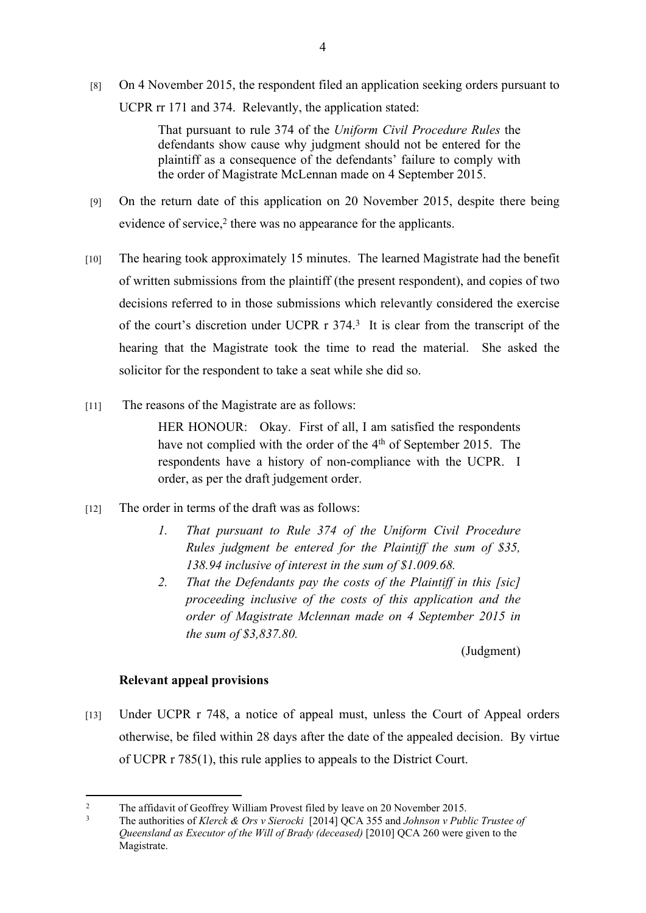[8] On 4 November 2015, the respondent filed an application seeking orders pursuant to UCPR rr 171 and 374. Relevantly, the application stated:

> That pursuant to rule 374 of the *Uniform Civil Procedure Rules* the defendants show cause why judgment should not be entered for the plaintiff as a consequence of the defendants' failure to comply with the order of Magistrate McLennan made on 4 September 2015.

- [9] On the return date of this application on 20 November 2015, despite there being evidence of service,<sup>2</sup> there was no appearance for the applicants.
- [10] The hearing took approximately 15 minutes. The learned Magistrate had the benefit of written submissions from the plaintiff (the present respondent), and copies of two decisions referred to in those submissions which relevantly considered the exercise of the court's discretion under UCPR r 374.<sup>3</sup> It is clear from the transcript of the hearing that the Magistrate took the time to read the material. She asked the solicitor for the respondent to take a seat while she did so.
- [11] The reasons of the Magistrate are as follows:

HER HONOUR: Okay. First of all, I am satisfied the respondents have not complied with the order of the 4<sup>th</sup> of September 2015. The respondents have a history of non-compliance with the UCPR. I order, as per the draft judgement order.

- [12] The order in terms of the draft was as follows:
	- *1. That pursuant to Rule 374 of the Uniform Civil Procedure Rules judgment be entered for the Plaintiff the sum of \$35, 138.94 inclusive of interest in the sum of \$1.009.68.*
	- *2. That the Defendants pay the costs of the Plaintiff in this [sic] proceeding inclusive of the costs of this application and the order of Magistrate Mclennan made on 4 September 2015 in the sum of \$3,837.80.*

(Judgment)

#### **Relevant appeal provisions**

[13] Under UCPR r 748, a notice of appeal must, unless the Court of Appeal orders otherwise, be filed within 28 days after the date of the appealed decision. By virtue of UCPR r 785(1), this rule applies to appeals to the District Court.

 $\gamma$ The affidavit of Geoffrey William Provest filed by leave on 20 November 2015.

<sup>3</sup> The authorities of *Klerck & Ors v Sierocki* [2014] QCA 355 and *Johnson v Public Trustee of Queensland as Executor of the Will of Brady (deceased)* [2010] QCA 260 were given to the Magistrate.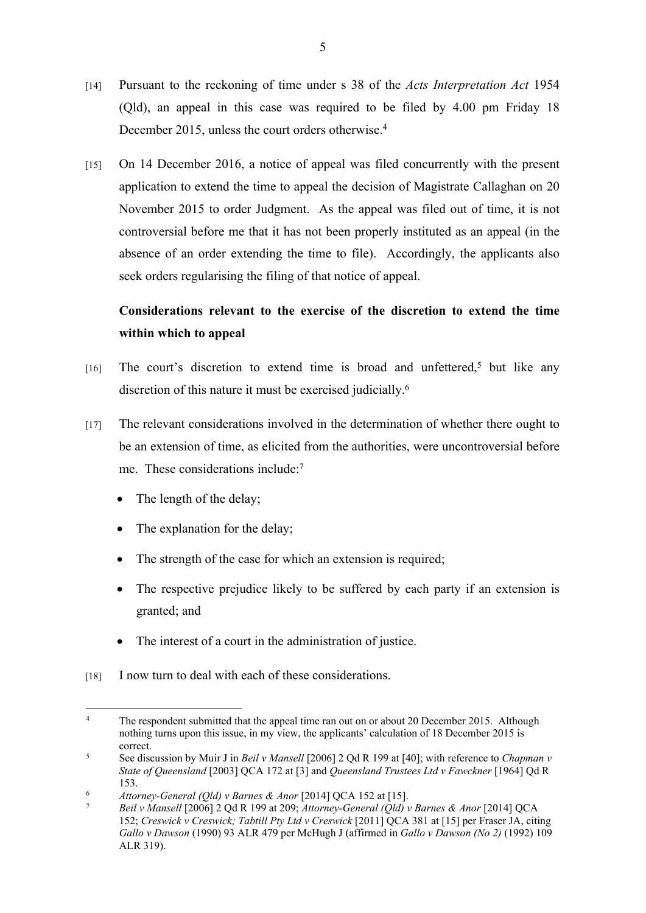- [14] Pursuant to the reckoning of time under s 38 of the *Acts Interpretation Act* 1954 (Qld), an appeal in this case was required to be filed by 4.00 pm Friday 18 December 2015, unless the court orders otherwise.<sup>4</sup>
- [15] On 14 December 2016, a notice of appeal was filed concurrently with the present application to extend the time to appeal the decision of Magistrate Callaghan on 20 November 2015 to order Judgment. As the appeal was filed out of time, it is not controversial before me that it has not been properly instituted as an appeal (in the absence of an order extending the time to file). Accordingly, the applicants also seek orders regularising the filing of that notice of appeal.

# **Considerations relevant to the exercise of the discretion to extend the time within which to appeal**

- [16] The court's discretion to extend time is broad and unfettered,<sup>5</sup> but like any discretion of this nature it must be exercised judicially.<sup>6</sup>
- [17] The relevant considerations involved in the determination of whether there ought to be an extension of time, as elicited from the authorities, were uncontroversial before me. These considerations include:<sup>7</sup>
	- The length of the delay;
	- The explanation for the delay;
	- The strength of the case for which an extension is required;
	- The respective prejudice likely to be suffered by each party if an extension is granted; and
	- The interest of a court in the administration of justice.
- [18] I now turn to deal with each of these considerations.

<sup>4</sup> The respondent submitted that the appeal time ran out on or about 20 December 2015. Although nothing turns upon this issue, in my view, the applicants' calculation of 18 December 2015 is correct.

<sup>5</sup> See discussion by Muir J in *Beil v Mansell* [2006] 2 Qd R 199 at [40]; with reference to *Chapman v State of Queensland* [2003] QCA 172 at [3] and *Queensland Trustees Ltd v Fawckner* [1964] Qd R 153.

<sup>6</sup> *Attorney-General (Qld) v Barnes & Anor* [2014] QCA 152 at [15].

<sup>7</sup> *Beil v Mansell* [2006] 2 Qd R 199 at 209; *Attorney-General (Qld) v Barnes & Anor* [2014] QCA 152; *Creswick v Creswick; Tabtill Pty Ltd v Creswick* [2011] QCA 381 at [15] per Fraser JA, citing *Gallo v Dawson* (1990) 93 ALR 479 per McHugh J (affirmed in *Gallo v Dawson (No 2)* (1992) 109 ALR 319).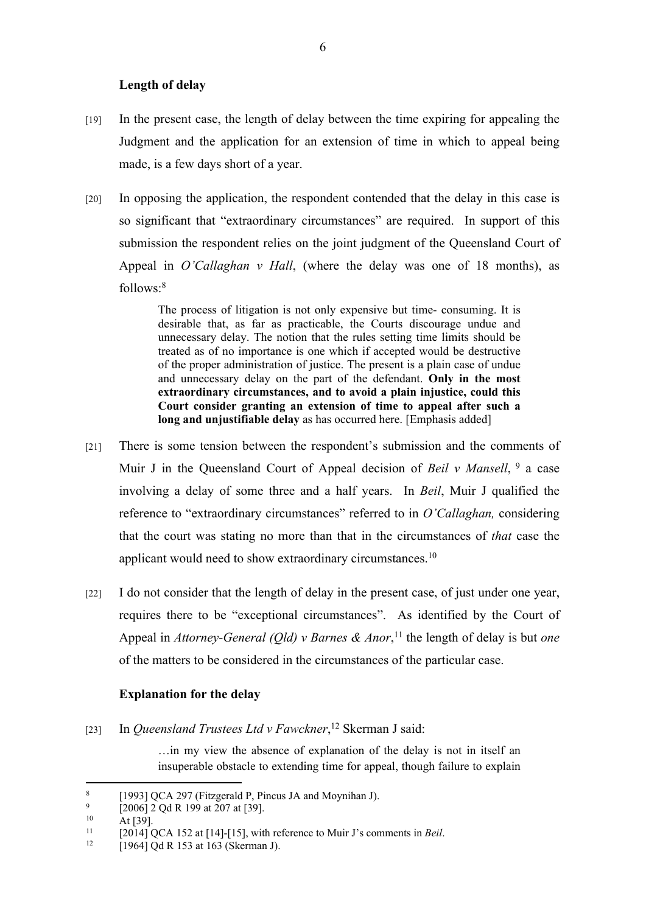#### **Length of delay**

- [19] In the present case, the length of delay between the time expiring for appealing the Judgment and the application for an extension of time in which to appeal being made, is a few days short of a year.
- [20] In opposing the application, the respondent contended that the delay in this case is so significant that "extraordinary circumstances" are required. In support of this submission the respondent relies on the joint judgment of the Queensland Court of Appeal in *O'Callaghan v Hall*, (where the delay was one of 18 months), as follows:<sup>8</sup>

The process of litigation is not only expensive but time- consuming. It is desirable that, as far as practicable, the Courts discourage undue and unnecessary delay. The notion that the rules setting time limits should be treated as of no importance is one which if accepted would be destructive of the proper administration of justice. The present is a plain case of undue and unnecessary delay on the part of the defendant. **Only in the most extraordinary circumstances, and to avoid a plain injustice, could this Court consider granting an extension of time to appeal after such a long and unjustifiable delay** as has occurred here. [Emphasis added]

- [21] There is some tension between the respondent's submission and the comments of Muir J in the Queensland Court of Appeal decision of *Beil v Mansell*, <sup>9</sup> a case involving a delay of some three and a half years. In *Beil*, Muir J qualified the reference to "extraordinary circumstances" referred to in *O'Callaghan,* considering that the court was stating no more than that in the circumstances of *that* case the applicant would need to show extraordinary circumstances.<sup>10</sup>
- [22] I do not consider that the length of delay in the present case, of just under one year, requires there to be "exceptional circumstances". As identified by the Court of Appeal in *Attorney-General (Qld) v Barnes & Anor*, <sup>11</sup> the length of delay is but *one*  of the matters to be considered in the circumstances of the particular case.

#### **Explanation for the delay**

[23] In *Queensland Trustees Ltd v Fawckner*, <sup>12</sup> Skerman J said:

…in my view the absence of explanation of the delay is not in itself an insuperable obstacle to extending time for appeal, though failure to explain

<sup>8</sup> [1993] QCA 297 (Fitzgerald P, Pincus JA and Moynihan J).

 $\alpha$  $\frac{9}{10}$  [2006] 2 Qd R 199 at 207 at [39].

 $10$  At [39].

<sup>&</sup>lt;sup>11</sup>  $[2014] QCA 152$  at  $[14]$ - $[15]$ , with reference to Muir J's comments in *Beil*.<br><sup>12</sup>  $[1064] QAB 152$  at 162 (Skerman I)

<sup>[1964]</sup> Qd R 153 at 163 (Skerman J).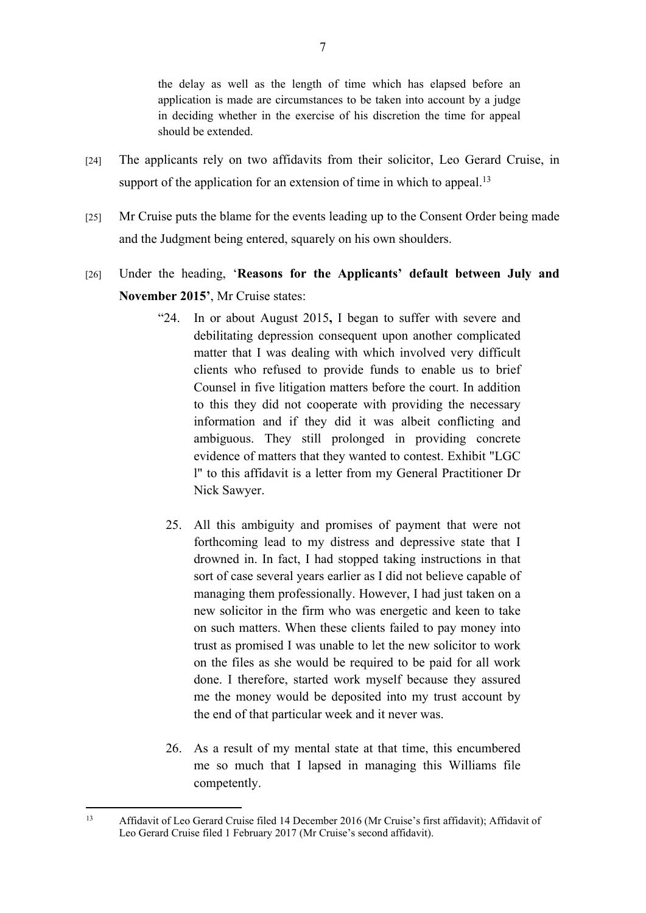the delay as well as the length of time which has elapsed before an application is made are circumstances to be taken into account by a judge in deciding whether in the exercise of his discretion the time for appeal should be extended.

- [24] The applicants rely on two affidavits from their solicitor, Leo Gerard Cruise, in support of the application for an extension of time in which to appeal.<sup>13</sup>
- [25] Mr Cruise puts the blame for the events leading up to the Consent Order being made and the Judgment being entered, squarely on his own shoulders.
- [26] Under the heading, '**Reasons for the Applicants' default between July and November 2015'**, Mr Cruise states:
	- "24. In or about August 2015**,** I began to suffer with severe and debilitating depression consequent upon another complicated matter that I was dealing with which involved very difficult clients who refused to provide funds to enable us to brief Counsel in five litigation matters before the court. In addition to this they did not cooperate with providing the necessary information and if they did it was albeit conflicting and ambiguous. They still prolonged in providing concrete evidence of matters that they wanted to contest. Exhibit "LGC l" to this affidavit is a letter from my General Practitioner Dr Nick Sawyer.
	- 25. All this ambiguity and promises of payment that were not forthcoming lead to my distress and depressive state that I drowned in. In fact, I had stopped taking instructions in that sort of case several years earlier as I did not believe capable of managing them professionally. However, I had just taken on a new solicitor in the firm who was energetic and keen to take on such matters. When these clients failed to pay money into trust as promised I was unable to let the new solicitor to work on the files as she would be required to be paid for all work done. I therefore, started work myself because they assured me the money would be deposited into my trust account by the end of that particular week and it never was.
	- 26. As a result of my mental state at that time, this encumbered me so much that I lapsed in managing this Williams file competently.

<sup>13</sup> Affidavit of Leo Gerard Cruise filed 14 December 2016 (Mr Cruise's first affidavit); Affidavit of Leo Gerard Cruise filed 1 February 2017 (Mr Cruise's second affidavit).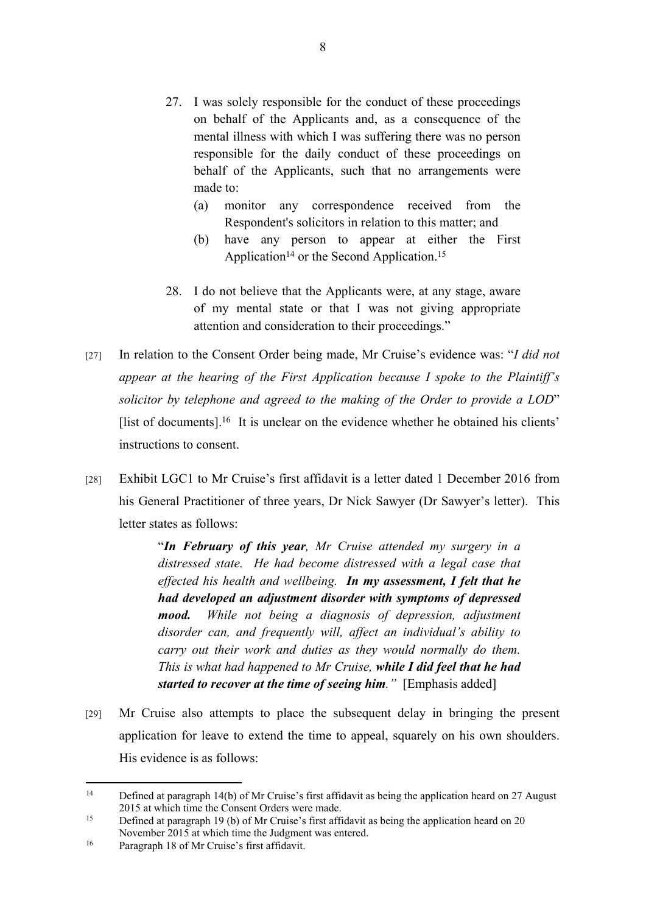- 27. I was solely responsible for the conduct of these proceedings on behalf of the Applicants and, as a consequence of the mental illness with which I was suffering there was no person responsible for the daily conduct of these proceedings on behalf of the Applicants, such that no arrangements were made to:
	- (a) monitor any correspondence received from the Respondent's solicitors in relation to this matter; and
	- (b) have any person to appear at either the First Application<sup>14</sup> or the Second Application.<sup>15</sup>
- 28. I do not believe that the Applicants were, at any stage, aware of my mental state or that I was not giving appropriate attention and consideration to their proceedings."
- [27] In relation to the Consent Order being made, Mr Cruise's evidence was: "*I did not appear at the hearing of the First Application because I spoke to the Plaintiff's solicitor by telephone and agreed to the making of the Order to provide a LOD*"  $[$ list of documents $]$ <sup>16</sup> It is unclear on the evidence whether he obtained his clients' instructions to consent.
- [28] Exhibit LGC1 to Mr Cruise's first affidavit is a letter dated 1 December 2016 from his General Practitioner of three years, Dr Nick Sawyer (Dr Sawyer's letter). This letter states as follows:

"*In February of this year, Mr Cruise attended my surgery in a distressed state. He had become distressed with a legal case that effected his health and wellbeing. In my assessment, I felt that he had developed an adjustment disorder with symptoms of depressed mood. While not being a diagnosis of depression, adjustment disorder can, and frequently will, affect an individual's ability to carry out their work and duties as they would normally do them. This is what had happened to Mr Cruise, while I did feel that he had started to recover at the time of seeing him."* [Emphasis added]

[29] Mr Cruise also attempts to place the subsequent delay in bringing the present application for leave to extend the time to appeal, squarely on his own shoulders. His evidence is as follows:

<sup>&</sup>lt;sup>14</sup> Defined at paragraph 14(b) of Mr Cruise's first affidavit as being the application heard on 27 August 2015 at which time the Consent Orders were made.

<sup>&</sup>lt;sup>15</sup> Defined at paragraph 19 (b) of Mr Cruise's first affidavit as being the application heard on 20 November 2015 at which time the Judgment was entered.

<sup>16</sup> Paragraph 18 of Mr Cruise's first affidavit.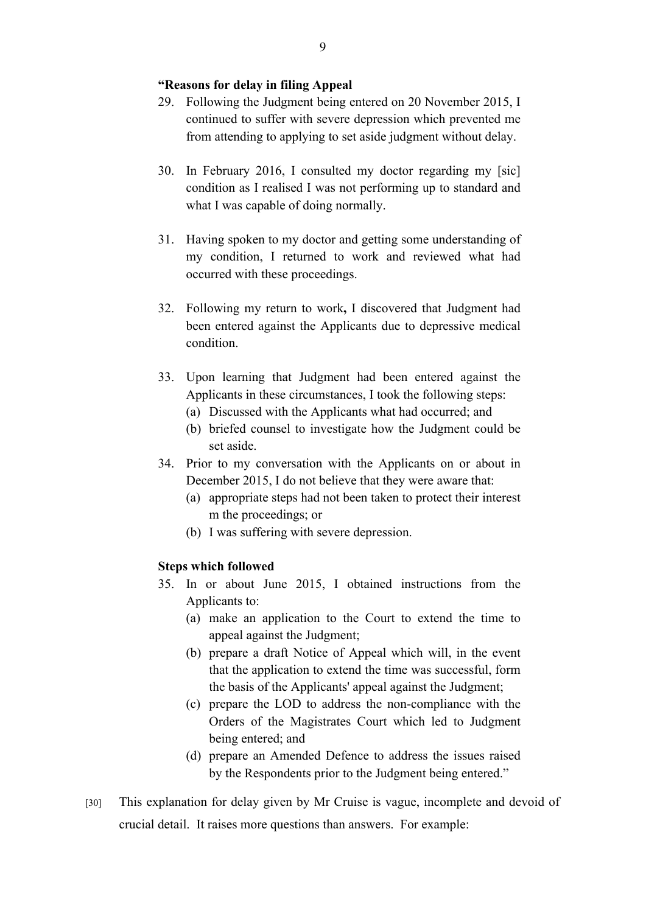#### **"Reasons for delay in filing Appeal**

- 29. Following the Judgment being entered on 20 November 2015, I continued to suffer with severe depression which prevented me from attending to applying to set aside judgment without delay.
- 30. In February 2016, I consulted my doctor regarding my [sic] condition as I realised I was not performing up to standard and what I was capable of doing normally.
- 31. Having spoken to my doctor and getting some understanding of my condition, I returned to work and reviewed what had occurred with these proceedings.
- 32. Following my return to work**,** I discovered that Judgment had been entered against the Applicants due to depressive medical condition.
- 33. Upon learning that Judgment had been entered against the Applicants in these circumstances, I took the following steps:
	- (a) Discussed with the Applicants what had occurred; and
	- (b) briefed counsel to investigate how the Judgment could be set aside.
- 34. Prior to my conversation with the Applicants on or about in December 2015, I do not believe that they were aware that:
	- (a) appropriate steps had not been taken to protect their interest m the proceedings; or
	- (b) I was suffering with severe depression.

# **Steps which followed**

- 35. In or about June 2015, I obtained instructions from the Applicants to:
	- (a) make an application to the Court to extend the time to appeal against the Judgment;
	- (b) prepare a draft Notice of Appeal which will, in the event that the application to extend the time was successful, form the basis of the Applicants' appeal against the Judgment;
	- (c) prepare the LOD to address the non-compliance with the Orders of the Magistrates Court which led to Judgment being entered; and
	- (d) prepare an Amended Defence to address the issues raised by the Respondents prior to the Judgment being entered."
- [30] This explanation for delay given by Mr Cruise is vague, incomplete and devoid of crucial detail. It raises more questions than answers. For example: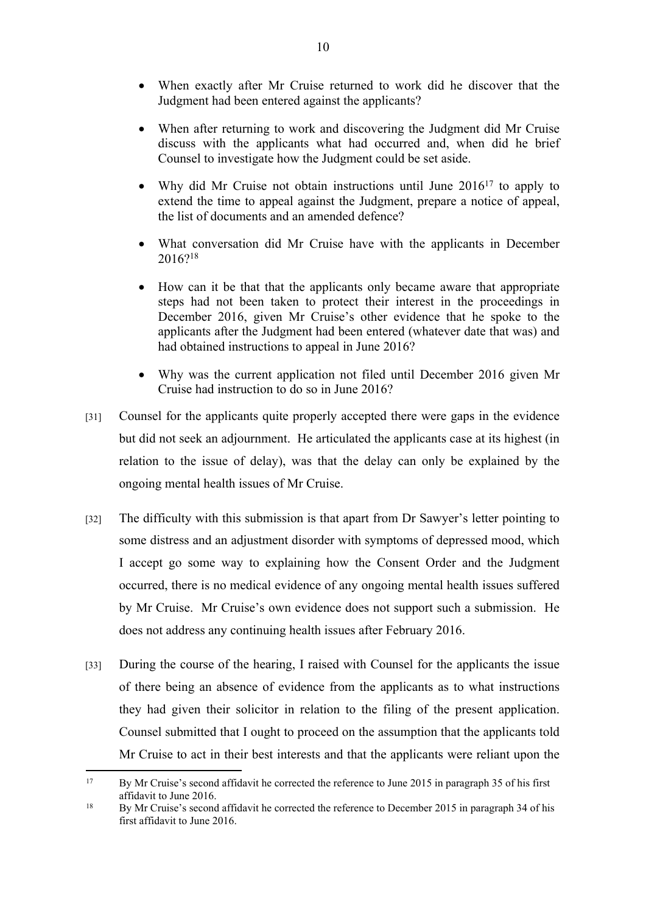- When exactly after Mr Cruise returned to work did he discover that the Judgment had been entered against the applicants?
- When after returning to work and discovering the Judgment did Mr Cruise discuss with the applicants what had occurred and, when did he brief Counsel to investigate how the Judgment could be set aside.
- Why did Mr Cruise not obtain instructions until June 2016<sup>17</sup> to apply to extend the time to appeal against the Judgment, prepare a notice of appeal, the list of documents and an amended defence?
- What conversation did Mr Cruise have with the applicants in December 2016?<sup>18</sup>
- How can it be that that the applicants only became aware that appropriate steps had not been taken to protect their interest in the proceedings in December 2016, given Mr Cruise's other evidence that he spoke to the applicants after the Judgment had been entered (whatever date that was) and had obtained instructions to appeal in June 2016?
- Why was the current application not filed until December 2016 given Mr Cruise had instruction to do so in June 2016?
- [31] Counsel for the applicants quite properly accepted there were gaps in the evidence but did not seek an adjournment. He articulated the applicants case at its highest (in relation to the issue of delay), was that the delay can only be explained by the ongoing mental health issues of Mr Cruise.
- [32] The difficulty with this submission is that apart from Dr Sawyer's letter pointing to some distress and an adjustment disorder with symptoms of depressed mood, which I accept go some way to explaining how the Consent Order and the Judgment occurred, there is no medical evidence of any ongoing mental health issues suffered by Mr Cruise. Mr Cruise's own evidence does not support such a submission. He does not address any continuing health issues after February 2016.
- [33] During the course of the hearing, I raised with Counsel for the applicants the issue of there being an absence of evidence from the applicants as to what instructions they had given their solicitor in relation to the filing of the present application. Counsel submitted that I ought to proceed on the assumption that the applicants told Mr Cruise to act in their best interests and that the applicants were reliant upon the

<sup>&</sup>lt;sup>17</sup> By Mr Cruise's second affidavit he corrected the reference to June 2015 in paragraph 35 of his first affidavit to June 2016.

<sup>&</sup>lt;sup>18</sup> By Mr Cruise's second affidavit he corrected the reference to December 2015 in paragraph 34 of his first affidavit to June 2016.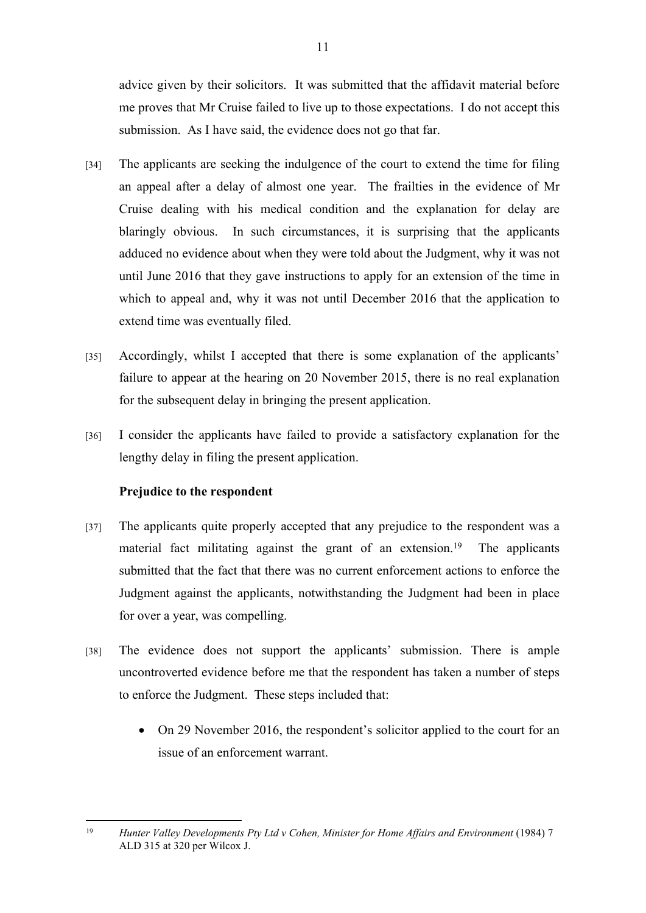advice given by their solicitors. It was submitted that the affidavit material before me proves that Mr Cruise failed to live up to those expectations. I do not accept this submission. As I have said, the evidence does not go that far.

- [34] The applicants are seeking the indulgence of the court to extend the time for filing an appeal after a delay of almost one year. The frailties in the evidence of Mr Cruise dealing with his medical condition and the explanation for delay are blaringly obvious. In such circumstances, it is surprising that the applicants adduced no evidence about when they were told about the Judgment, why it was not until June 2016 that they gave instructions to apply for an extension of the time in which to appeal and, why it was not until December 2016 that the application to extend time was eventually filed.
- [35] Accordingly, whilst I accepted that there is some explanation of the applicants' failure to appear at the hearing on 20 November 2015, there is no real explanation for the subsequent delay in bringing the present application.
- [36] I consider the applicants have failed to provide a satisfactory explanation for the lengthy delay in filing the present application.

#### **Prejudice to the respondent**

- [37] The applicants quite properly accepted that any prejudice to the respondent was a material fact militating against the grant of an extension.<sup>19</sup> The applicants submitted that the fact that there was no current enforcement actions to enforce the Judgment against the applicants, notwithstanding the Judgment had been in place for over a year, was compelling.
- [38] The evidence does not support the applicants' submission. There is ample uncontroverted evidence before me that the respondent has taken a number of steps to enforce the Judgment. These steps included that:
	- On 29 November 2016, the respondent's solicitor applied to the court for an issue of an enforcement warrant.

<sup>&</sup>lt;sup>19</sup> *Hunter Valley Developments Pty Ltd v Cohen, Minister for Home Affairs and Environment* (1984) 7 ALD 315 at 320 per Wilcox J.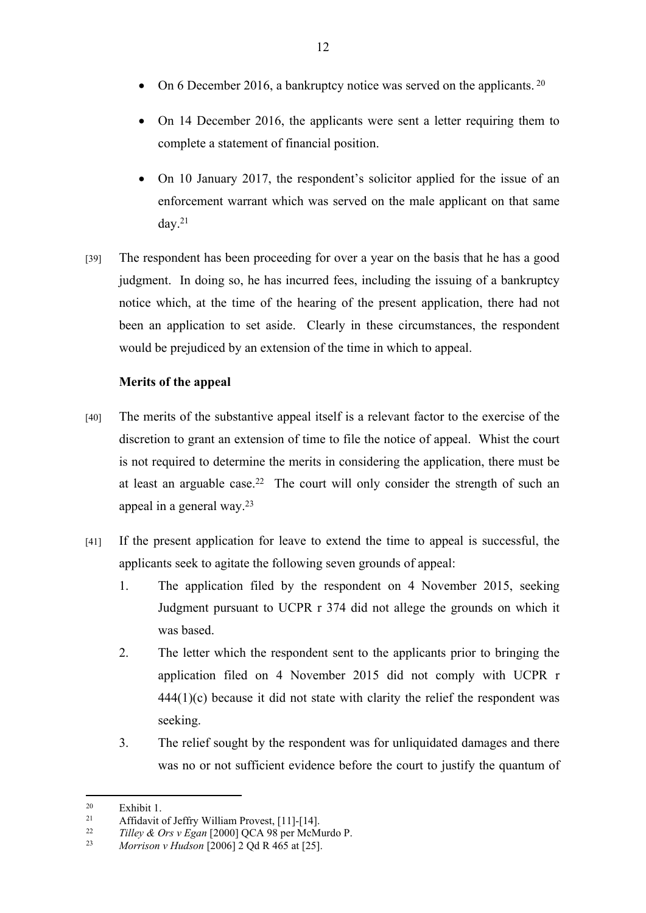- On 6 December 2016, a bankruptcy notice was served on the applicants.<sup>20</sup>
- On 14 December 2016, the applicants were sent a letter requiring them to complete a statement of financial position.
- On 10 January 2017, the respondent's solicitor applied for the issue of an enforcement warrant which was served on the male applicant on that same day. $21$
- [39] The respondent has been proceeding for over a year on the basis that he has a good judgment. In doing so, he has incurred fees, including the issuing of a bankruptcy notice which, at the time of the hearing of the present application, there had not been an application to set aside. Clearly in these circumstances, the respondent would be prejudiced by an extension of the time in which to appeal.

# **Merits of the appeal**

- [40] The merits of the substantive appeal itself is a relevant factor to the exercise of the discretion to grant an extension of time to file the notice of appeal. Whist the court is not required to determine the merits in considering the application, there must be at least an arguable case.<sup>22</sup> The court will only consider the strength of such an appeal in a general way.<sup>23</sup>
- [41] If the present application for leave to extend the time to appeal is successful, the applicants seek to agitate the following seven grounds of appeal:
	- 1. The application filed by the respondent on 4 November 2015, seeking Judgment pursuant to UCPR r 374 did not allege the grounds on which it was based.
	- 2. The letter which the respondent sent to the applicants prior to bringing the application filed on 4 November 2015 did not comply with UCPR r  $444(1)(c)$  because it did not state with clarity the relief the respondent was seeking.
	- 3. The relief sought by the respondent was for unliquidated damages and there was no or not sufficient evidence before the court to justify the quantum of

<sup>&</sup>lt;sup>20</sup> Exhibit 1.<br><sup>21</sup> Affidavit.

<sup>&</sup>lt;sup>21</sup> Affidavit of Jeffry William Provest, [11]-[14].<br><sup>22</sup>  $T_2^{11}$   $\sim$  *A* Out y Fran [2000] OCA 08 per MaM

<sup>22</sup> *Tilley & Ors v Egan* [2000] QCA 98 per McMurdo P.

<sup>23</sup> *Morrison v Hudson* [2006] 2 Qd R 465 at [25].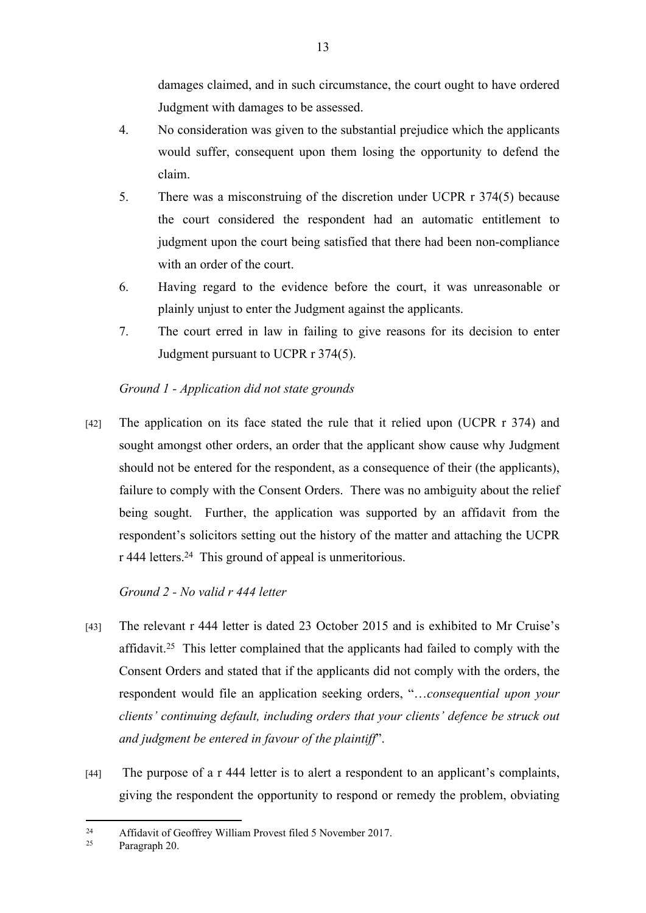damages claimed, and in such circumstance, the court ought to have ordered Judgment with damages to be assessed.

- 4. No consideration was given to the substantial prejudice which the applicants would suffer, consequent upon them losing the opportunity to defend the claim.
- 5. There was a misconstruing of the discretion under UCPR r 374(5) because the court considered the respondent had an automatic entitlement to judgment upon the court being satisfied that there had been non-compliance with an order of the court.
- 6. Having regard to the evidence before the court, it was unreasonable or plainly unjust to enter the Judgment against the applicants.
- 7. The court erred in law in failing to give reasons for its decision to enter Judgment pursuant to UCPR r 374(5).

# *Ground 1 - Application did not state grounds*

[42] The application on its face stated the rule that it relied upon (UCPR r 374) and sought amongst other orders, an order that the applicant show cause why Judgment should not be entered for the respondent, as a consequence of their (the applicants), failure to comply with the Consent Orders. There was no ambiguity about the relief being sought. Further, the application was supported by an affidavit from the respondent's solicitors setting out the history of the matter and attaching the UCPR r 444 letters.<sup>24</sup> This ground of appeal is unmeritorious.

# *Ground 2 - No valid r 444 letter*

- [43] The relevant r 444 letter is dated 23 October 2015 and is exhibited to Mr Cruise's affidavit.<sup>25</sup> This letter complained that the applicants had failed to comply with the Consent Orders and stated that if the applicants did not comply with the orders, the respondent would file an application seeking orders, "…*consequential upon your clients' continuing default, including orders that your clients' defence be struck out and judgment be entered in favour of the plaintiff*".
- [44] The purpose of a r 444 letter is to alert a respondent to an applicant's complaints, giving the respondent the opportunity to respond or remedy the problem, obviating

<sup>24</sup> Affidavit of Geoffrey William Provest filed 5 November 2017.<br>  $25 \qquad$  Personsh 20

Paragraph 20.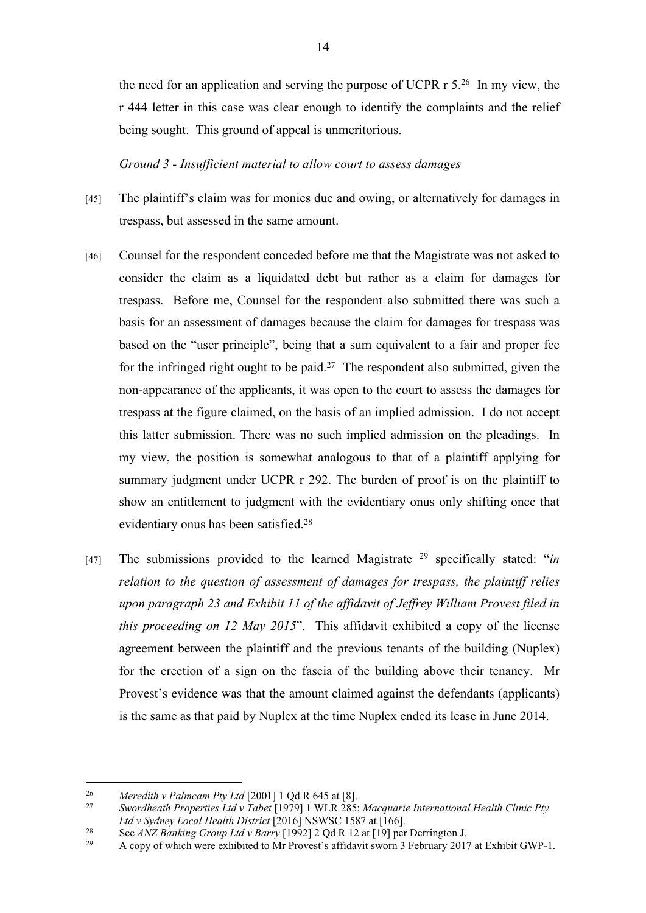the need for an application and serving the purpose of UCPR r 5.<sup>26</sup> In my view, the r 444 letter in this case was clear enough to identify the complaints and the relief being sought. This ground of appeal is unmeritorious.

*Ground 3 - Insufficient material to allow court to assess damages*

- [45] The plaintiff's claim was for monies due and owing, or alternatively for damages in trespass, but assessed in the same amount.
- [46] Counsel for the respondent conceded before me that the Magistrate was not asked to consider the claim as a liquidated debt but rather as a claim for damages for trespass. Before me, Counsel for the respondent also submitted there was such a basis for an assessment of damages because the claim for damages for trespass was based on the "user principle", being that a sum equivalent to a fair and proper fee for the infringed right ought to be paid.<sup>27</sup> The respondent also submitted, given the non-appearance of the applicants, it was open to the court to assess the damages for trespass at the figure claimed, on the basis of an implied admission. I do not accept this latter submission. There was no such implied admission on the pleadings. In my view, the position is somewhat analogous to that of a plaintiff applying for summary judgment under UCPR r 292. The burden of proof is on the plaintiff to show an entitlement to judgment with the evidentiary onus only shifting once that evidentiary onus has been satisfied.<sup>28</sup>
- [47] The submissions provided to the learned Magistrate <sup>29</sup> specifically stated: "*in relation to the question of assessment of damages for trespass, the plaintiff relies upon paragraph 23 and Exhibit 11 of the affidavit of Jeffrey William Provest filed in this proceeding on 12 May 2015*". This affidavit exhibited a copy of the license agreement between the plaintiff and the previous tenants of the building (Nuplex) for the erection of a sign on the fascia of the building above their tenancy. Mr Provest's evidence was that the amount claimed against the defendants (applicants) is the same as that paid by Nuplex at the time Nuplex ended its lease in June 2014.

<sup>26</sup> *Meredith v Palmcam Pty Ltd* [2001] 1 Qd R 645 at [8].

<sup>27</sup> *Swordheath Properties Ltd v Tabet* [1979] 1 WLR 285; *Macquarie International Health Clinic Pty Ltd v Sydney Local Health District* [2016] NSWSC 1587 at [166].

<sup>&</sup>lt;sup>28</sup> See *ANZ Banking Group Ltd v Barry* [1992] 2 Qd R 12 at [19] per Derrington J.<br>4 copy of which were exhibited to Mr Provest's affidavit sworn 3 February 2017

<sup>29</sup> A copy of which were exhibited to Mr Provest's affidavit sworn 3 February 2017 at Exhibit GWP-1.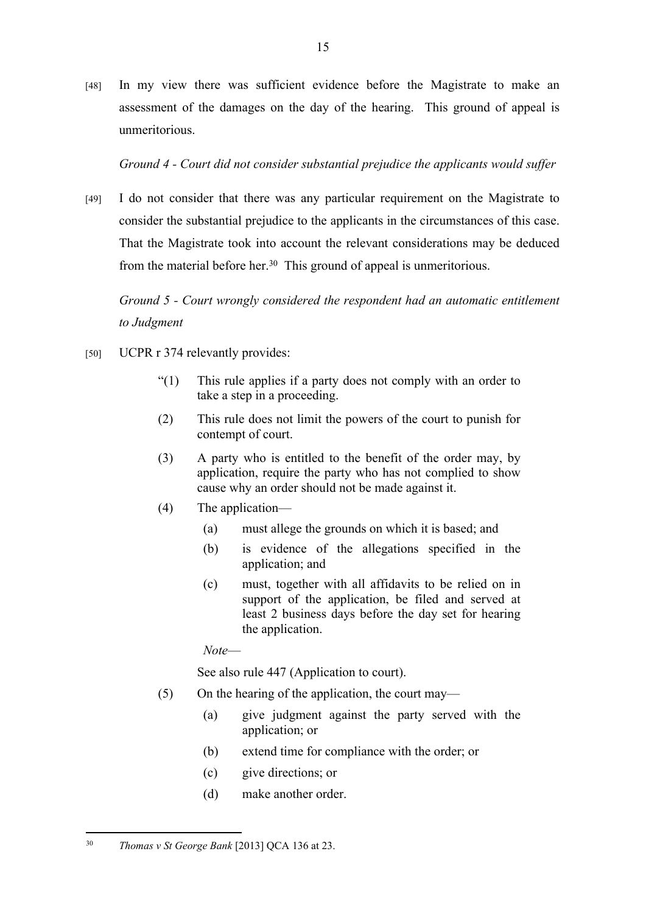[48] In my view there was sufficient evidence before the Magistrate to make an assessment of the damages on the day of the hearing. This ground of appeal is unmeritorious.

*Ground 4 - Court did not consider substantial prejudice the applicants would suffer*

[49] I do not consider that there was any particular requirement on the Magistrate to consider the substantial prejudice to the applicants in the circumstances of this case. That the Magistrate took into account the relevant considerations may be deduced from the material before her.<sup>30</sup> This ground of appeal is unmeritorious.

*Ground 5 - Court wrongly considered the respondent had an automatic entitlement to Judgment*

- [50] UCPR r 374 relevantly provides:
	- "(1) This rule applies if a party does not comply with an order to take a step in a proceeding.
	- (2) This rule does not limit the powers of the court to punish for contempt of court.
	- (3) A party who is entitled to the benefit of the order may, by application, require the party who has not complied to show cause why an order should not be made against it.
	- (4) The application—
		- (a) must allege the grounds on which it is based; and
		- (b) is evidence of the allegations specified in the application; and
		- (c) must, together with all affidavits to be relied on in support of the application, be filed and served at least 2 business days before the day set for hearing the application.

*Note*—

See also rule 447 (Application to court).

- (5) On the hearing of the application, the court may—
	- (a) give judgment against the party served with the application; or
	- (b) extend time for compliance with the order; or
	- (c) give directions; or
	- (d) make another order.

<sup>30</sup> *Thomas v St George Bank* [2013] QCA 136 at 23.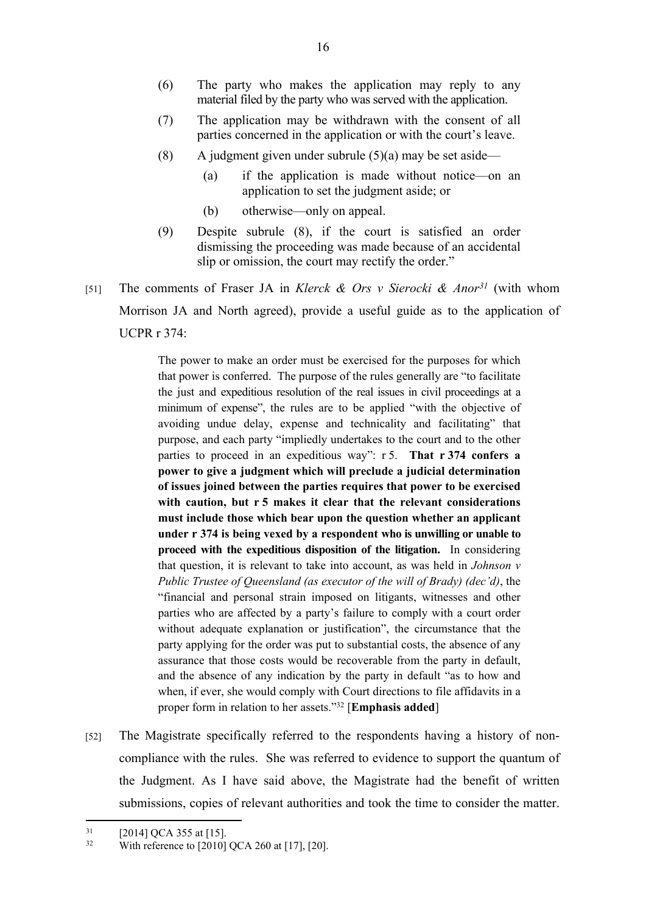- (6) The party who makes the application may reply to any material filed by the party who was served with the application.
- (7) The application may be withdrawn with the consent of all parties concerned in the application or with the court's leave.
- (8) A judgment given under subrule  $(5)(a)$  may be set aside—
	- (a) if the application is made without notice—on an application to set the judgment aside; or
	- (b) otherwise—only on appeal.
- (9) Despite subrule (8), if the court is satisfied an order dismissing the proceeding was made because of an accidental slip or omission, the court may rectify the order."
- [51] The comments of Fraser JA in *Klerck & Ors v Sierocki & Anor<sup>31</sup>* (with whom Morrison JA and North agreed), provide a useful guide as to the application of UCPR r 374:

The power to make an order must be exercised for the purposes for which that power is conferred. The purpose of the rules generally are "to facilitate the just and expeditious resolution of the real issues in civil proceedings at a minimum of expense", the rules are to be applied "with the objective of avoiding undue delay, expense and technicality and facilitating" that purpose, and each party "impliedly undertakes to the court and to the other parties to proceed in an expeditious way": r 5. **That r 374 confers a power to give a judgment which will preclude a judicial determination of issues joined between the parties requires that power to be exercised with caution, but r 5 makes it clear that the relevant considerations must include those which bear upon the question whether an applicant under r 374 is being vexed by a respondent who is unwilling or unable to proceed with the expeditious disposition of the litigation.** In considering that question, it is relevant to take into account, as was held in *Johnson v Public Trustee of Queensland (as executor of the will of Brady) (dec'd)*, the "financial and personal strain imposed on litigants, witnesses and other parties who are affected by a party's failure to comply with a court order without adequate explanation or justification", the circumstance that the party applying for the order was put to substantial costs, the absence of any assurance that those costs would be recoverable from the party in default, and the absence of any indication by the party in default "as to how and when, if ever, she would comply with Court directions to file affidavits in a proper form in relation to her assets."<sup>32</sup> [**Emphasis added**]

[52] The Magistrate specifically referred to the respondents having a history of noncompliance with the rules. She was referred to evidence to support the quantum of the Judgment. As I have said above, the Magistrate had the benefit of written submissions, copies of relevant authorities and took the time to consider the matter.

 $\frac{31}{32}$  [2014] QCA 355 at [15].

With reference to [2010] QCA 260 at [17], [20].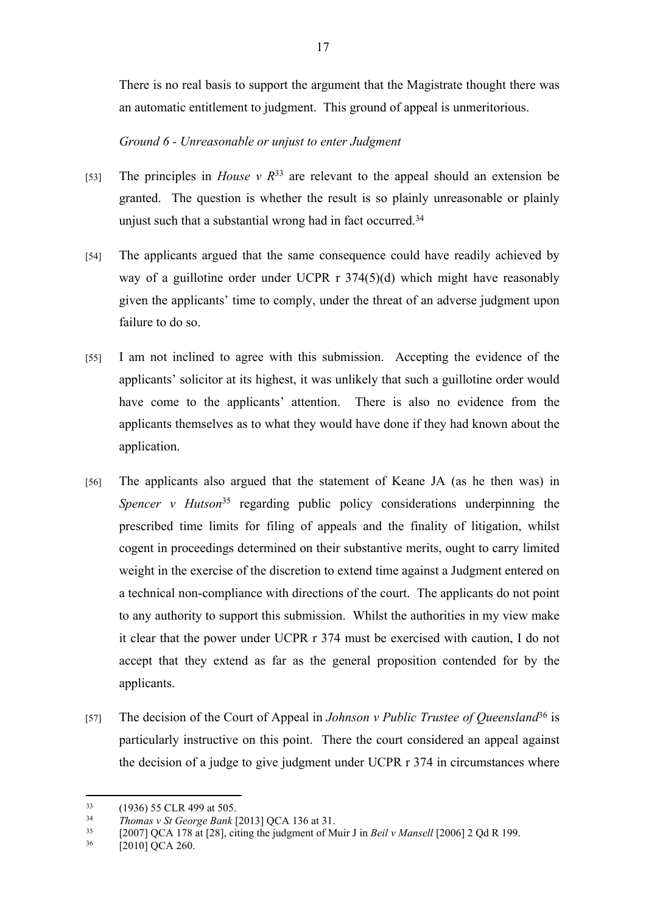There is no real basis to support the argument that the Magistrate thought there was an automatic entitlement to judgment. This ground of appeal is unmeritorious.

# *Ground 6 - Unreasonable or unjust to enter Judgment*

- [53] The principles in *House v R*<sup>33</sup> are relevant to the appeal should an extension be granted. The question is whether the result is so plainly unreasonable or plainly unjust such that a substantial wrong had in fact occurred.<sup>34</sup>
- [54] The applicants argued that the same consequence could have readily achieved by way of a guillotine order under UCPR r 374(5)(d) which might have reasonably given the applicants' time to comply, under the threat of an adverse judgment upon failure to do so.
- [55] I am not inclined to agree with this submission. Accepting the evidence of the applicants' solicitor at its highest, it was unlikely that such a guillotine order would have come to the applicants' attention. There is also no evidence from the applicants themselves as to what they would have done if they had known about the application.
- [56] The applicants also argued that the statement of Keane JA (as he then was) in *Spencer v Hutson*<sup>35</sup> regarding public policy considerations underpinning the prescribed time limits for filing of appeals and the finality of litigation, whilst cogent in proceedings determined on their substantive merits, ought to carry limited weight in the exercise of the discretion to extend time against a Judgment entered on a technical non-compliance with directions of the court. The applicants do not point to any authority to support this submission. Whilst the authorities in my view make it clear that the power under UCPR r 374 must be exercised with caution, I do not accept that they extend as far as the general proposition contended for by the applicants.
- [57] The decision of the Court of Appeal in *Johnson v Public Trustee of Queensland*<sup>36</sup> is particularly instructive on this point. There the court considered an appeal against the decision of a judge to give judgment under UCPR r 374 in circumstances where

 $^{33}$  (1936) 55 CLR 499 at 505.<br> $^{34}$  Thomas v St George Bank I.

<sup>34</sup> *Thomas v St George Bank* [2013] QCA 136 at 31.

<sup>35</sup> [2007] QCA 178 at [28], citing the judgment of Muir J in *Beil v Mansell* [2006] 2 Qd R 199.

<sup>[2010]</sup> QCA 260.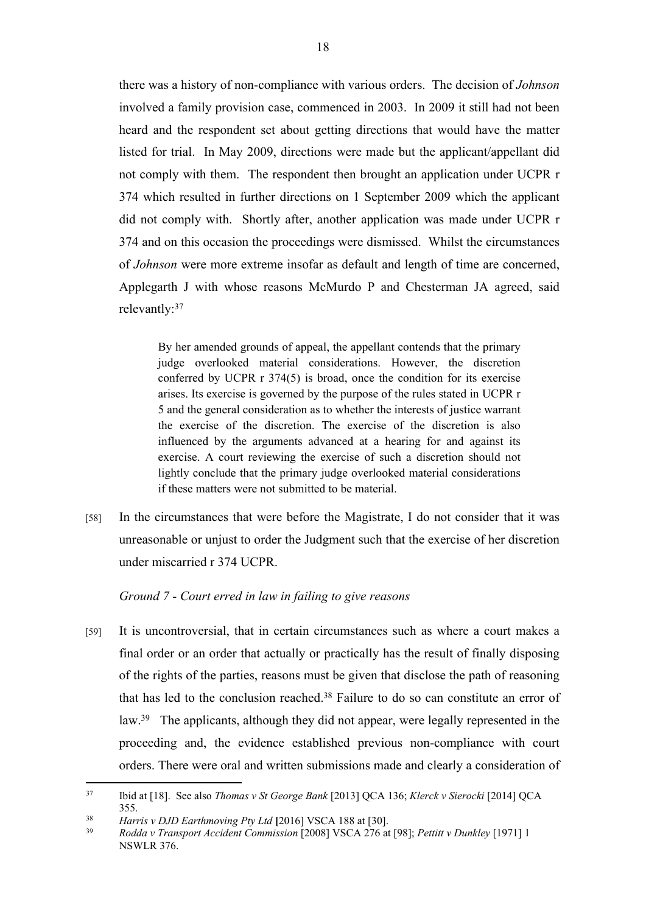there was a history of non-compliance with various orders. The decision of *Johnson* involved a family provision case, commenced in 2003. In 2009 it still had not been heard and the respondent set about getting directions that would have the matter listed for trial. In May 2009, directions were made but the applicant/appellant did not comply with them. The respondent then brought an application under UCPR r 374 which resulted in further directions on 1 September 2009 which the applicant did not comply with. Shortly after, another application was made under UCPR r 374 and on this occasion the proceedings were dismissed. Whilst the circumstances of *Johnson* were more extreme insofar as default and length of time are concerned, Applegarth J with whose reasons McMurdo P and Chesterman JA agreed, said relevantly:<sup>37</sup>

By her amended grounds of appeal, the appellant contends that the primary judge overlooked material considerations. However, the discretion conferred by UCPR r 374(5) is broad, once the condition for its exercise arises. Its exercise is governed by the purpose of the rules stated in UCPR r 5 and the general consideration as to whether the interests of justice warrant the exercise of the discretion. The exercise of the discretion is also influenced by the arguments advanced at a hearing for and against its exercise. A court reviewing the exercise of such a discretion should not lightly conclude that the primary judge overlooked material considerations if these matters were not submitted to be material.

[58] In the circumstances that were before the Magistrate, I do not consider that it was unreasonable or unjust to order the Judgment such that the exercise of her discretion under miscarried r 374 UCPR.

#### *Ground 7 - Court erred in law in failing to give reasons*

[59] It is uncontroversial, that in certain circumstances such as where a court makes a final order or an order that actually or practically has the result of finally disposing of the rights of the parties, reasons must be given that disclose the path of reasoning that has led to the conclusion reached.<sup>38</sup> Failure to do so can constitute an error of law.<sup>39</sup> The applicants, although they did not appear, were legally represented in the proceeding and, the evidence established previous non-compliance with court orders. There were oral and written submissions made and clearly a consideration of

<sup>37</sup> Ibid at [18]. See also *Thomas v St George Bank* [2013] QCA 136; *Klerck v Sierocki* [2014] QCA 355.

<sup>38</sup> *Harris v DJD Earthmoving Pty Ltd* **[**2016] VSCA 188 at [30].

<sup>39</sup> *Rodda v Transport Accident Commission* [2008] VSCA 276 at [98]; *Pettitt v Dunkley* [1971] 1 NSWLR 376.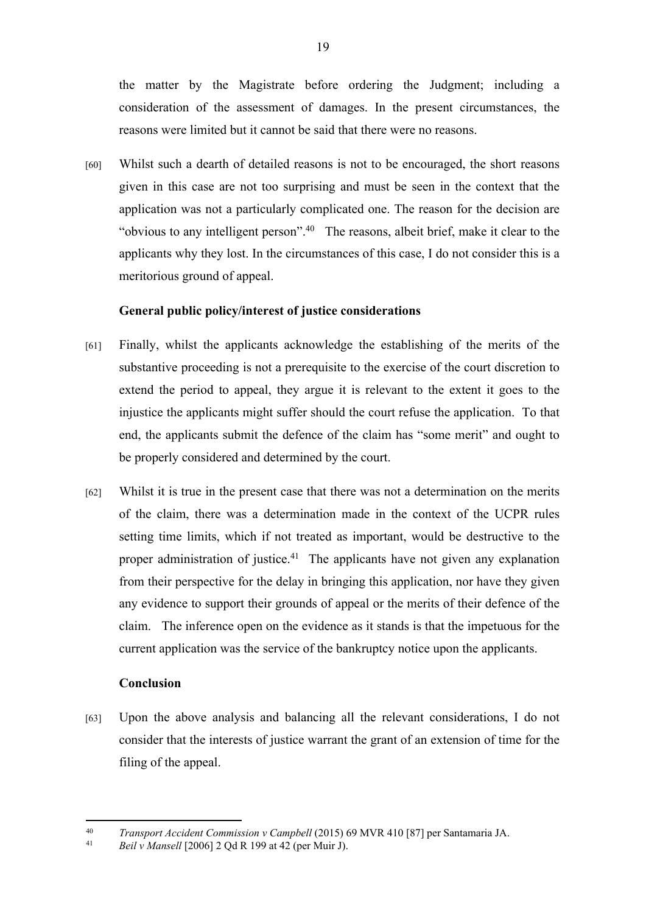the matter by the Magistrate before ordering the Judgment; including a consideration of the assessment of damages. In the present circumstances, the reasons were limited but it cannot be said that there were no reasons.

[60] Whilst such a dearth of detailed reasons is not to be encouraged, the short reasons given in this case are not too surprising and must be seen in the context that the application was not a particularly complicated one. The reason for the decision are "obvious to any intelligent person".<sup>40</sup> The reasons, albeit brief, make it clear to the applicants why they lost. In the circumstances of this case, I do not consider this is a meritorious ground of appeal.

# **General public policy/interest of justice considerations**

- [61] Finally, whilst the applicants acknowledge the establishing of the merits of the substantive proceeding is not a prerequisite to the exercise of the court discretion to extend the period to appeal, they argue it is relevant to the extent it goes to the injustice the applicants might suffer should the court refuse the application. To that end, the applicants submit the defence of the claim has "some merit" and ought to be properly considered and determined by the court.
- [62] Whilst it is true in the present case that there was not a determination on the merits of the claim, there was a determination made in the context of the UCPR rules setting time limits, which if not treated as important, would be destructive to the proper administration of justice.<sup>41</sup> The applicants have not given any explanation from their perspective for the delay in bringing this application, nor have they given any evidence to support their grounds of appeal or the merits of their defence of the claim. The inference open on the evidence as it stands is that the impetuous for the current application was the service of the bankruptcy notice upon the applicants.

#### **Conclusion**

[63] Upon the above analysis and balancing all the relevant considerations, I do not consider that the interests of justice warrant the grant of an extension of time for the filing of the appeal.

<sup>40</sup> *Transport Accident Commission v Campbell* (2015) 69 MVR 410 [87] per Santamaria JA.

<sup>41</sup> *Beil v Mansell* [2006] 2 Qd R 199 at 42 (per Muir J).